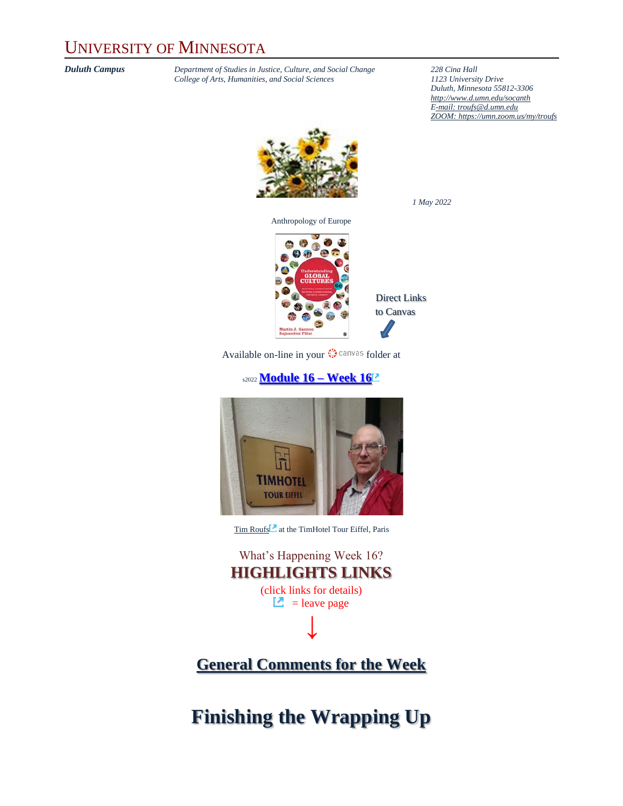#### UNIVERSITY OF MINNESOTA

*Duluth Campus Department of Studies in Justice, Culture, and Social Change* **228** *Cina Hall College of Arts, Humanities, and Social Sciences 1123 University Drive College of Arts, Humanities, and Social Sciences 1123 University Drive*

*Duluth, Minnesota 55812-3306 <http://www.d.umn.edu/socanth> E-mail: [troufs@d.umn.edu](mailto:troufs@d.umn.edu) ZOOM[: https://umn.zoom.us/my/troufs](https://umn.zoom.us/my/troufs)*



Anthropology of Europe



Direct Links to Canvas

*1 May 2022*

Available on-line in your  $\mathbb{Q}$  canvas folder at

#### s2022 **[Module 16](https://canvas.umn.edu/courses/282731/modules/945930) – Week 16**



[Tim Roufs](http://www.d.umn.edu/~troufs/#title)<sup>2</sup> at the TimHotel Tour Eiffel, Paris

What's Happening Week 16? **HIGHLIGHTS LINKS** (click links for details)  $\Box$  = leave page **↓**

#### **[General Comments for the Week](#page-3-0)**

**Finishing the Wrapping Up**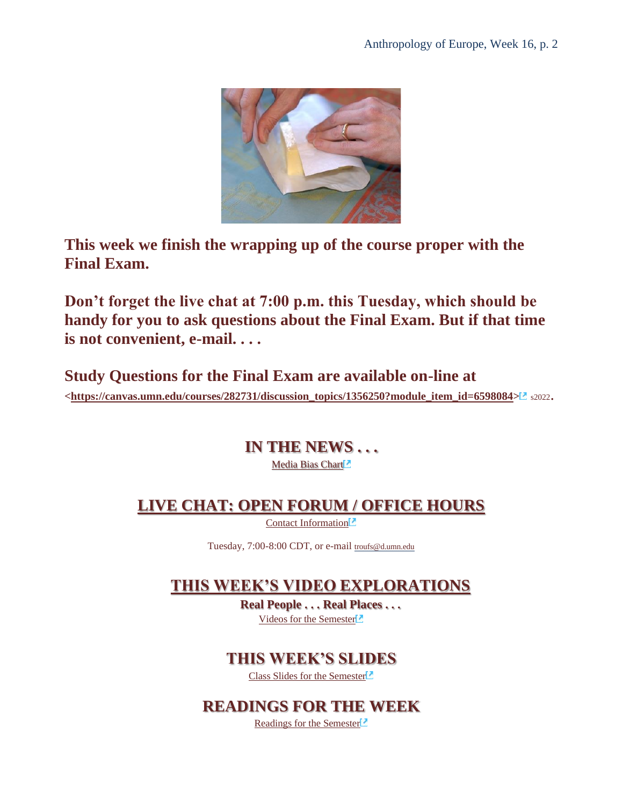

**This week we finish the wrapping up of the course proper with the Final Exam.** 

**Don't forget the live chat at 7:00 p.m. this Tuesday, which should be handy for you to ask questions about the Final Exam. But if that time is not convenient, e-mail. . . .**

**Study Questions for the Final Exam are available on-line at [<https://canvas.umn.edu/courses/282731/discussion\\_topics/1356250?module\\_item\\_id=6598084>](https://canvas.umn.edu/courses/282731/discussion_topics/1356250?module_item_id=6598084)** s2022.

> **IN THE NEWS . . .** Media Bias Chart<sup>2</sup>

#### **[LIVE CHAT: OPEN FORUM / OFFICE HOURS](#page-3-1)**

[Contact Information](http://www.d.umn.edu/cla/faculty/troufs/anth1602/pcoffice.html#title)<sup>12</sup>

Tuesday, 7:00-8:00 CDT, or e-mail [troufs@d.umn.edu](mailto:troufs@d.umn.edu)

#### **THIS WEEK'S VIDEO EXPLORATIONS**

**Real People . . . Real Places . . .** [Videos for the Semester](https://www.d.umn.edu/cla/faculty/troufs/anth3635/cevideo_schedule.html#title)

#### **THIS WEEK'S SLIDES**

[Class Slides for the Semester](https://www.d.umn.edu/cla/faculty/troufs/anth3635/ceslides.html#title)

#### **READINGS FOR THE WEEK**

[Readings for the Semester](https://www.d.umn.edu/cla/faculty/troufs/anth3635/ceread-s.html#title)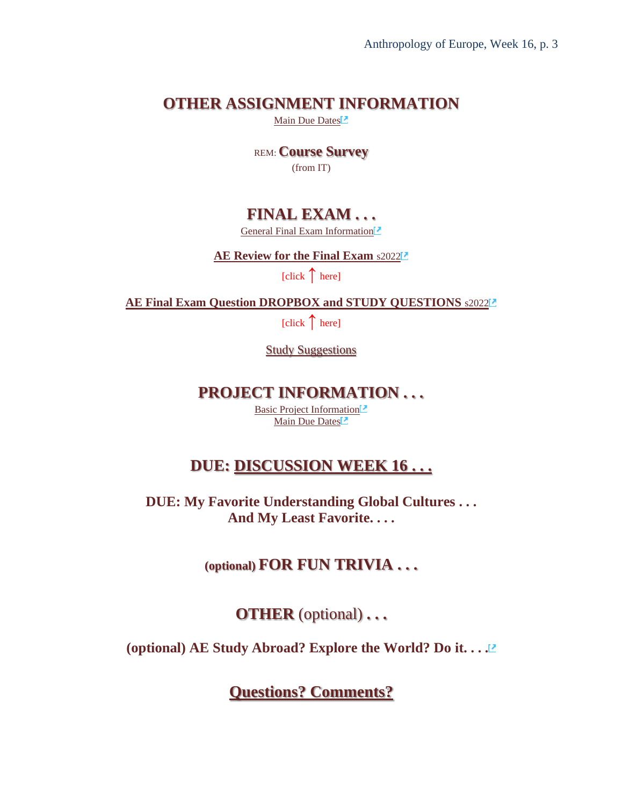#### **OTHER ASSIGNMENT INFORMATION**

[Main Due Dates](https://www.d.umn.edu/cla/faculty/troufs/anth3635/cedue-dates.html#title)

REM: **Course Survey** (from IT)

#### **FINAL EXAM . . .**

[General Final Exam Information](https://www.d.umn.edu/cla/faculty/troufs/anth3635/ceexams_final.html#title)

**[AE Review for the Final Exam](https://canvas.umn.edu/courses/282731/modules/items/6598119)** [s2022](https://canvas.umn.edu/courses/282731/modules/items/6598119)

[click **↑** here]

**[AE Final Exam Question DROPBOX and STUDY QUESTIONS](https://canvas.umn.edu/courses/282731/modules/items/7146875)** [s2022](https://canvas.umn.edu/courses/282731/modules/items/7146875)

[click **↑** here]

**Study Suggestions** 

#### **PROJECT INFORMATION . . .**

[Basic Project Information](https://www.d.umn.edu/cla/faculty/troufs/anth3635/ceproject.html#title)<sup>[2]</sup> [Main Due Dates](https://www.d.umn.edu/cla/faculty/troufs/anth3635/cedue-dates.html#title)<sup>1</sup>

#### **DUE: [DISCUSSION WEEK 16](#page-6-0) . . .**

**DUE: My Favorite Understanding Global Cultures . . . And My Least Favorite. . . .**

**(optional) FOR FUN TRIVIA . . .**

**OTHER** (optional) **. . .**

**(optional) AE Study Abroad? Explore the World? Do it. . . .**

**[Questions? Comments?](#page-7-0)**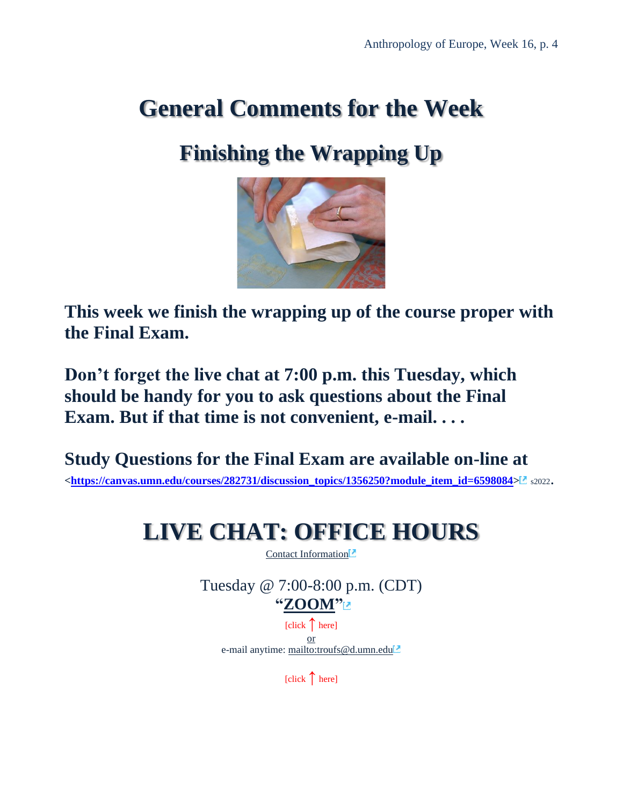### <span id="page-3-0"></span>**General Comments for the Week**

### **Finishing the Wrapping Up**



**This week we finish the wrapping up of the course proper with the Final Exam.** 

**Don't forget the live chat at 7:00 p.m. this Tuesday, which should be handy for you to ask questions about the Final Exam. But if that time is not convenient, e-mail. . . .**

<span id="page-3-1"></span>**Study Questions for the Final Exam are available on-line at [<https://canvas.umn.edu/courses/282731/discussion\\_topics/1356250?module\\_item\\_id=6598084>](https://canvas.umn.edu/courses/282731/discussion_topics/1356250?module_item_id=6598084)** s2022.

### **LIVE CHAT: OFFICE HOURS**

[Contact Information](http://www.d.umn.edu/cla/faculty/troufs/anth1602/pcoffice.html#title)<sup>2</sup>

Tuesday @ 7:00-8:00 p.m. (CDT) **["ZOOM"](https://umn.zoom.us/my/troufs)** [click **↑** here] or e-mail anytime: <mailto:troufs@d.umn.edu>

[click **↑** here]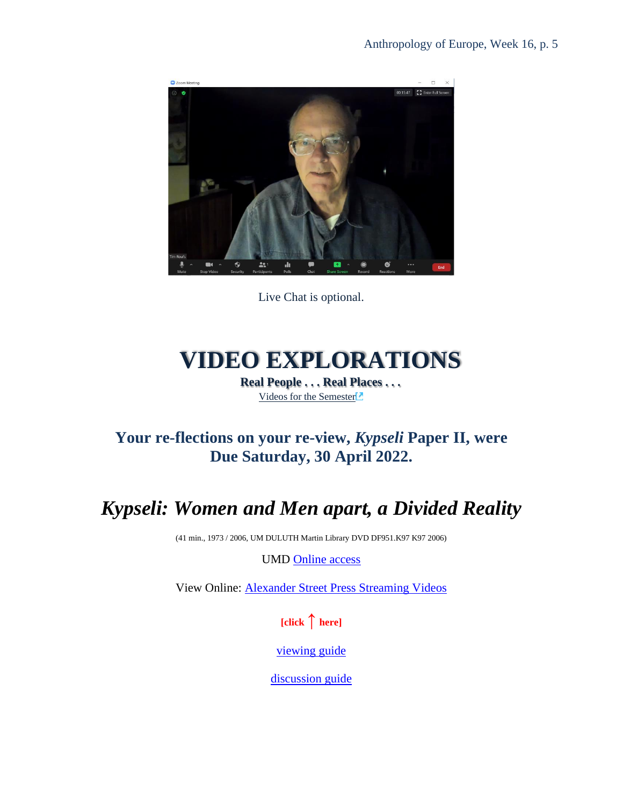

Live Chat is optional.

## **VIDEO EXPLORATIONS**

**Real People . . . Real Places . . .** [Videos for the Semester](https://www.d.umn.edu/cla/faculty/troufs/anth3635/cevideo_schedule.html#title)

#### **Your re-flections on your re-view,** *Kypseli* **Paper II, were Due Saturday, 30 April 2022.**

### *Kypseli: Women and Men apart, a Divided Reality*

(41 min., 1973 / 2006, UM DULUTH Martin Library DVD DF951.K97 K97 2006)

UMD [Online access](https://primo.lib.umn.edu/permalink/f/4tjq2e/UMN_ALMA51789626430001701)

View Online: [Alexander Street Press Streaming Videos](https://na01.alma.exlibrisgroup.com/view/action/uresolver.do?operation=resolveService&package_service_id=2264750958240001701&institutionId=1701&customerId=1700)

**[click ↑ here]**

[viewing guide](https://www.d.umn.edu/cla/faculty/troufs/anth1604/video/Kypseli.html#title)

[discussion guide](https://www.d.umn.edu/cla/faculty/troufs/anth1604/video/Kypseli_discussion.html#title)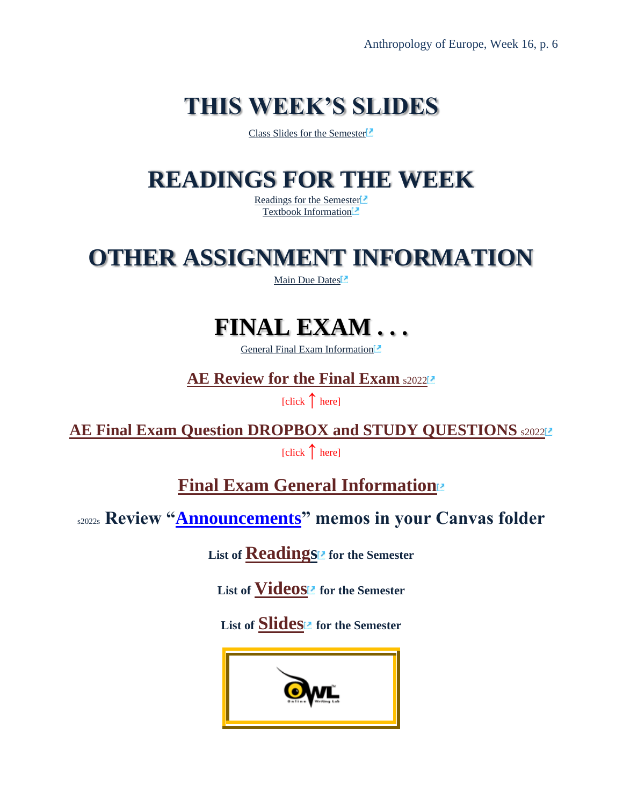# **THIS WEEK'S SLIDES**

[Class Slides for the Semester](https://www.d.umn.edu/cla/faculty/troufs/anth3635/ceslides.html#title)<sup>12</sup>

### **READINGS FOR THE WEEK**

[Readings for the Semester](https://www.d.umn.edu/cla/faculty/troufs/anth3635/ceread-s.html#title) [Textbook Information](https://www.d.umn.edu/cla/faculty/troufs/anth3635/cetexts.html#title)<sup>1</sup>

### **OTHER ASSIGNMENT INFORMATION**

[Main Due Dates](https://www.d.umn.edu/cla/faculty/troufs/anth3635/cedue-dates.html#title)<sup>1</sup>

### **FINAL EXAM . . .**

[General Final Exam Information](https://www.d.umn.edu/cla/faculty/troufs/anth3635/ceexams_final.html#title)<sup>[2]</sup>

**[AE Review for the Final Exam](https://canvas.umn.edu/courses/282731/modules/items/6598119) [s2022](https://canvas.umn.edu/courses/282731/modules/items/6598119)22** 

[click **↑** here]

**[AE Final Exam Question DROPBOX and STUDY QUESTIONS](https://canvas.umn.edu/courses/282731/modules/items/7146875)** \$2022<sup>2</sup>

[click **↑** here]

**[Final Exam General Information](https://www.d.umn.edu/cla/faculty/troufs/anth3635/ceexams_final.html#title)**

s2022s **Review ["Announcements"](https://canvas.umn.edu/courses/282731/announcements) memos in your Canvas folder**

List of **[Readings](https://www.d.umn.edu/cla/faculty/troufs/anth3635/ceread-s.html#title)<sup>12</sup>** for the Semester

List of **[Videos](https://www.d.umn.edu/cla/faculty/troufs/anth3635/cevideo_schedule.html#title) for the Semester** 

List of **[Slides](https://www.d.umn.edu/cla/faculty/troufs/anth3635/ceslides.html#title)<sup>12</sup>** for the Semester

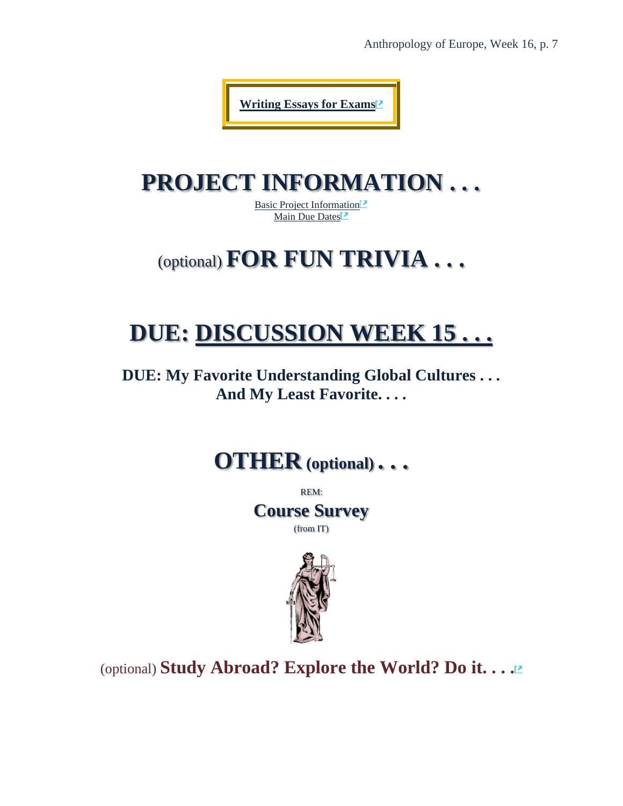Anthropology of Europe, Week 16, p. 7

**[Writing Essays for Exams](https://owl.purdue.edu/owl/general_writing/common_writing_assignments/essays_for_exams.html)**

### **PROJECT INFORMATION . . .**

[Basic Project Information](https://www.d.umn.edu/cla/faculty/troufs/anth3635/ceproject.html#title) [Main Due Dates](https://www.d.umn.edu/cla/faculty/troufs/anth3635/cedue-dates.html#title)<sup>7</sup>

### (optional) **FOR FUN TRIVIA . . .**

### <span id="page-6-0"></span>**DUE: [DISCUSSION WEEK 15 . . .](#page-6-0)**

**DUE: My Favorite Understanding Global Cultures . . . And My Least Favorite. . . .**

### **OTHER (optional) . . .**

REM: **Course Survey** (from IT)



(optional) **Study Abroad? Explore the World? Do it. . . .**